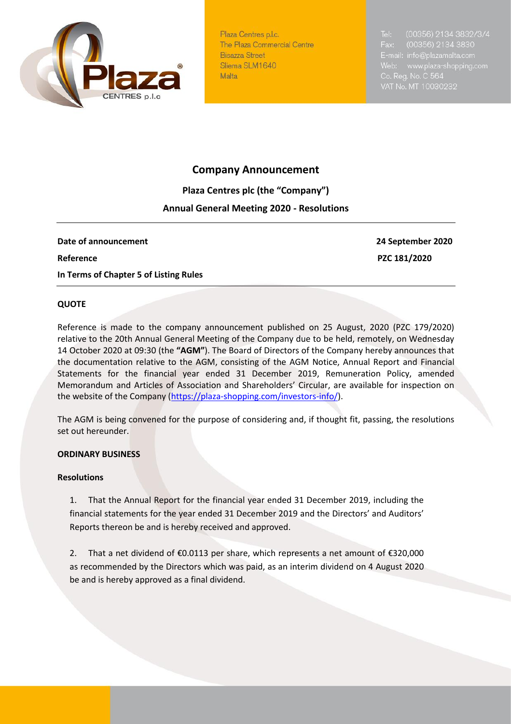

Plaza Centres p.l.c. The Plaza Commercial Centre **Bisazza Street** Sliema SLM1640 Malta

# **Company Announcement**

**Plaza Centres plc (the "Company")**

# **Annual General Meeting 2020 - Resolutions**

**Date of announcement 24 September 2020 Reference** PZC 181/2020 **In Terms of Chapter 5 of Listing Rules** 

## **QUOTE**

Reference is made to the company announcement published on 25 August, 2020 (PZC 179/2020) relative to the 20th Annual General Meeting of the Company due to be held, remotely, on Wednesday 14 October 2020 at 09:30 (the **"AGM"**). The Board of Directors of the Company hereby announces that the documentation relative to the AGM, consisting of the AGM Notice, Annual Report and Financial Statements for the financial year ended 31 December 2019, Remuneration Policy, amended Memorandum and Articles of Association and Shareholders' Circular, are available for inspection on the website of the Company [\(https://plaza-shopping.com/investors-info/\)](https://plaza-shopping.com/investors-info/).

The AGM is being convened for the purpose of considering and, if thought fit, passing, the resolutions set out hereunder.

#### **ORDINARY BUSINESS**

#### **Resolutions**

1. That the Annual Report for the financial year ended 31 December 2019, including the financial statements for the year ended 31 December 2019 and the Directors' and Auditors' Reports thereon be and is hereby received and approved.

2. That a net dividend of €0.0113 per share, which represents a net amount of €320,000 as recommended by the Directors which was paid, as an interim dividend on 4 August 2020 be and is hereby approved as a final dividend.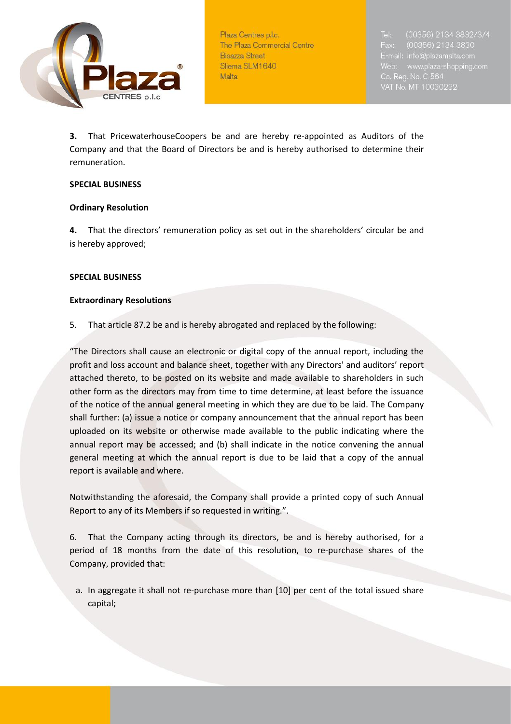

Plaza Centres p.l.c. The Plaza Commercial Centre **Bisazza Street** Sliema SLM1640 Malta

(00356) 2134 3830 E-mail: info@plazamalta.com

**3.** That PricewaterhouseCoopers be and are hereby re-appointed as Auditors of the Company and that the Board of Directors be and is hereby authorised to determine their remuneration.

#### **SPECIAL BUSINESS**

#### **Ordinary Resolution**

**4.** That the directors' remuneration policy as set out in the shareholders' circular be and is hereby approved;

#### **SPECIAL BUSINESS**

#### **Extraordinary Resolutions**

5. That article 87.2 be and is hereby abrogated and replaced by the following:

"The Directors shall cause an electronic or digital copy of the annual report, including the profit and loss account and balance sheet, together with any Directors' and auditors' report attached thereto, to be posted on its website and made available to shareholders in such other form as the directors may from time to time determine, at least before the issuance of the notice of the annual general meeting in which they are due to be laid. The Company shall further: (a) issue a notice or company announcement that the annual report has been uploaded on its website or otherwise made available to the public indicating where the annual report may be accessed; and (b) shall indicate in the notice convening the annual general meeting at which the annual report is due to be laid that a copy of the annual report is available and where.

Notwithstanding the aforesaid, the Company shall provide a printed copy of such Annual Report to any of its Members if so requested in writing.".

6. That the Company acting through its directors, be and is hereby authorised, for a period of 18 months from the date of this resolution, to re-purchase shares of the Company, provided that:

a. In aggregate it shall not re-purchase more than [10] per cent of the total issued share capital;